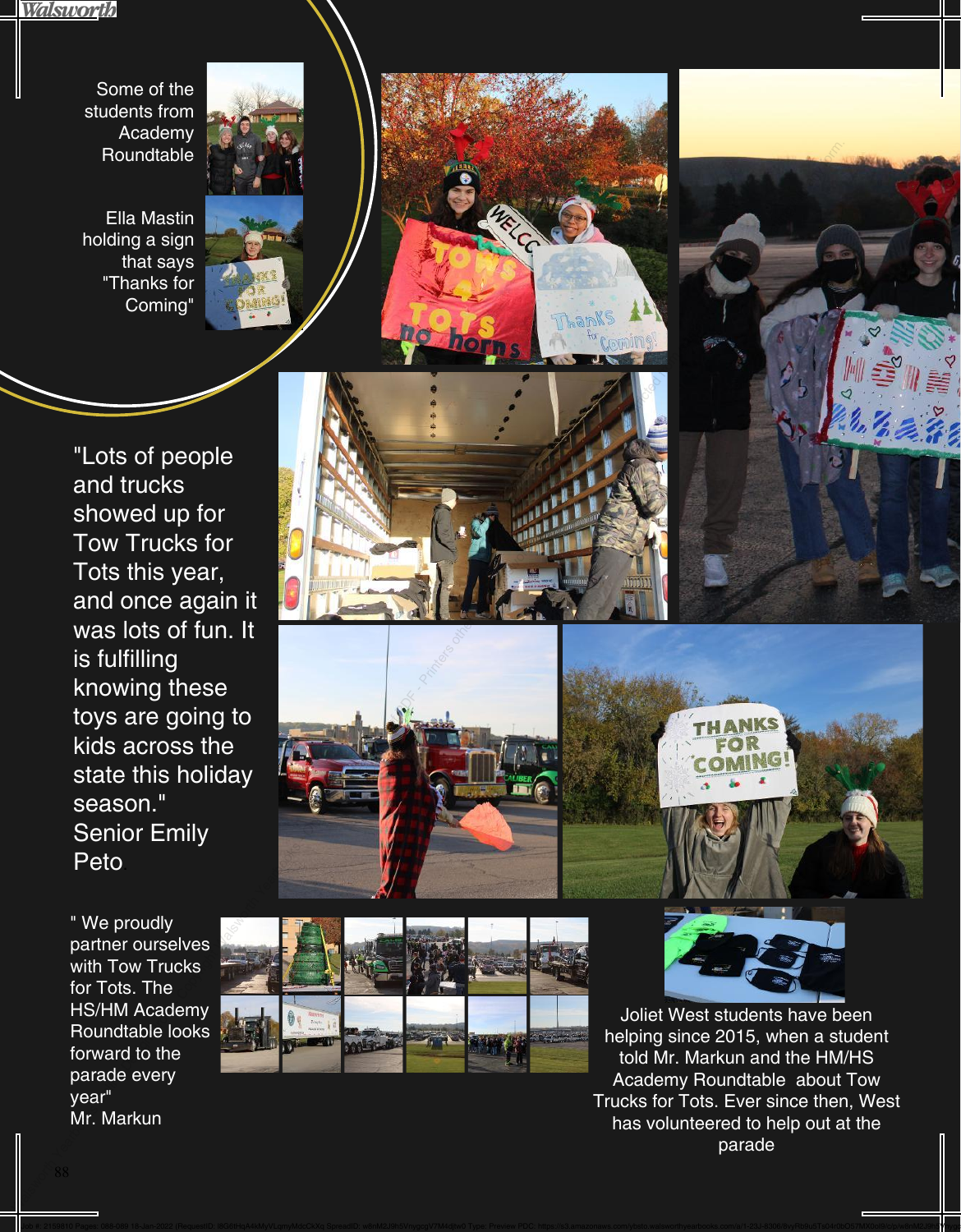Walsworth

Some of the students from Academy **Roundtable** 

Ella Mastin holding a sign that says "Thanks for Coming"





" We proudly partner ourselves with Tow Trucks for Tots. The HS/HM Academy Roundtable looks forward to the parade every year" Mr. Markun











Joliet West students have been helping since 2015, when a student told Mr. Markun and the HM/HS Academy Roundtable about Tow Trucks for Tots. Ever since then, West has volunteered to help out at the parade

Job #: 2159810 Pages: 088-089 18-Jan-2022 (RequestiD: I8G6tHqA4kMyVLqmyMdcCkXq SpreadID: w8nM2J9h5VnygcgV7M4djtw0 Type: Preview PDC: https://s3.amazonaws.com/ybsto.walsworthyearbooks.com/a/1-23J-8306/8vyRb9u5Ts04r0b057MX0o